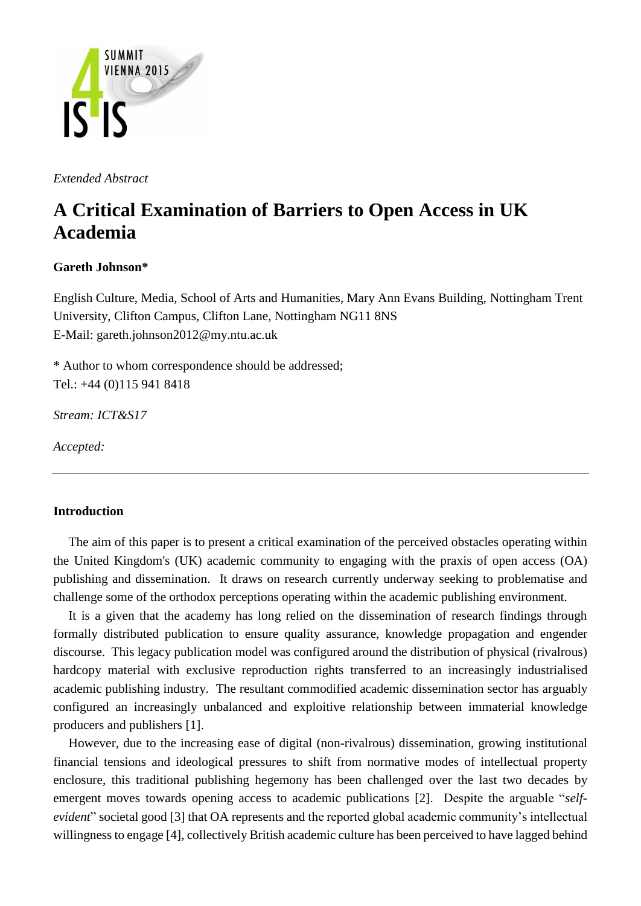

*Extended Abstract*

# **A Critical Examination of Barriers to Open Access in UK Academia**

## **Gareth Johnson\***

English Culture, Media, School of Arts and Humanities, Mary Ann Evans Building, Nottingham Trent University, Clifton Campus, Clifton Lane, Nottingham NG11 8NS E-Mail: gareth.johnson2012@my.ntu.ac.uk

\* Author to whom correspondence should be addressed; Tel.: +44 (0)115 941 8418

*Stream: ICT&S17*

*Accepted:*

## **Introduction**

The aim of this paper is to present a critical examination of the perceived obstacles operating within the United Kingdom's (UK) academic community to engaging with the praxis of open access (OA) publishing and dissemination. It draws on research currently underway seeking to problematise and challenge some of the orthodox perceptions operating within the academic publishing environment.

It is a given that the academy has long relied on the dissemination of research findings through formally distributed publication to ensure quality assurance, knowledge propagation and engender discourse. This legacy publication model was configured around the distribution of physical (rivalrous) hardcopy material with exclusive reproduction rights transferred to an increasingly industrialised academic publishing industry. The resultant commodified academic dissemination sector has arguably configured an increasingly unbalanced and exploitive relationship between immaterial knowledge producers and publishers [1].

However, due to the increasing ease of digital (non-rivalrous) dissemination, growing institutional financial tensions and ideological pressures to shift from normative modes of intellectual property enclosure, this traditional publishing hegemony has been challenged over the last two decades by emergent moves towards opening access to academic publications [2]. Despite the arguable "*selfevident*" societal good [3] that OA represents and the reported global academic community's intellectual willingness to engage [4], collectively British academic culture has been perceived to have lagged behind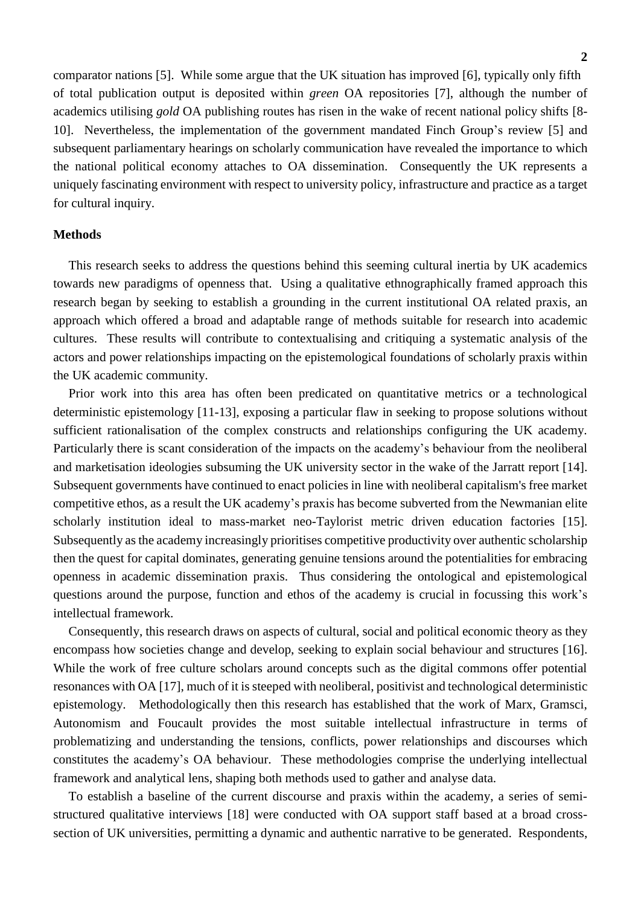comparator nations [5]. While some argue that the UK situation has improved [6], typically only fifth of total publication output is deposited within *green* OA repositories [7], although the number of academics utilising *gold* OA publishing routes has risen in the wake of recent national policy shifts [8- 10]. Nevertheless, the implementation of the government mandated Finch Group's review [5] and subsequent parliamentary hearings on scholarly communication have revealed the importance to which the national political economy attaches to OA dissemination. Consequently the UK represents a uniquely fascinating environment with respect to university policy, infrastructure and practice as a target for cultural inquiry.

#### **Methods**

This research seeks to address the questions behind this seeming cultural inertia by UK academics towards new paradigms of openness that. Using a qualitative ethnographically framed approach this research began by seeking to establish a grounding in the current institutional OA related praxis, an approach which offered a broad and adaptable range of methods suitable for research into academic cultures. These results will contribute to contextualising and critiquing a systematic analysis of the actors and power relationships impacting on the epistemological foundations of scholarly praxis within the UK academic community.

Prior work into this area has often been predicated on quantitative metrics or a technological deterministic epistemology [11-13], exposing a particular flaw in seeking to propose solutions without sufficient rationalisation of the complex constructs and relationships configuring the UK academy. Particularly there is scant consideration of the impacts on the academy's behaviour from the neoliberal and marketisation ideologies subsuming the UK university sector in the wake of the Jarratt report [14]. Subsequent governments have continued to enact policies in line with neoliberal capitalism's free market competitive ethos, as a result the UK academy's praxis has become subverted from the Newmanian elite scholarly institution ideal to mass-market neo-Taylorist metric driven education factories [15]. Subsequently as the academy increasingly prioritises competitive productivity over authentic scholarship then the quest for capital dominates, generating genuine tensions around the potentialities for embracing openness in academic dissemination praxis. Thus considering the ontological and epistemological questions around the purpose, function and ethos of the academy is crucial in focussing this work's intellectual framework.

Consequently, this research draws on aspects of cultural, social and political economic theory as they encompass how societies change and develop, seeking to explain social behaviour and structures [16]. While the work of free culture scholars around concepts such as the digital commons offer potential resonances with OA [17], much of it is steeped with neoliberal, positivist and technological deterministic epistemology. Methodologically then this research has established that the work of Marx, Gramsci, Autonomism and Foucault provides the most suitable intellectual infrastructure in terms of problematizing and understanding the tensions, conflicts, power relationships and discourses which constitutes the academy's OA behaviour. These methodologies comprise the underlying intellectual framework and analytical lens, shaping both methods used to gather and analyse data.

To establish a baseline of the current discourse and praxis within the academy, a series of semistructured qualitative interviews [18] were conducted with OA support staff based at a broad crosssection of UK universities, permitting a dynamic and authentic narrative to be generated. Respondents,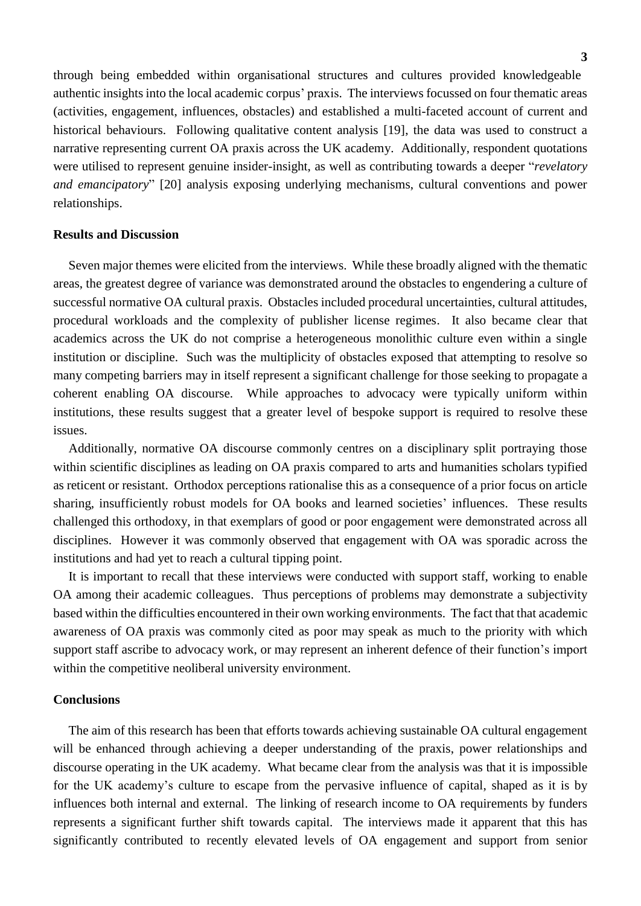through being embedded within organisational structures and cultures provided knowledgeable authentic insights into the local academic corpus' praxis. The interviews focussed on four thematic areas (activities, engagement, influences, obstacles) and established a multi-faceted account of current and historical behaviours. Following qualitative content analysis [19], the data was used to construct a narrative representing current OA praxis across the UK academy. Additionally, respondent quotations were utilised to represent genuine insider-insight, as well as contributing towards a deeper "*revelatory and emancipatory*" [20] analysis exposing underlying mechanisms, cultural conventions and power relationships.

### **Results and Discussion**

Seven major themes were elicited from the interviews. While these broadly aligned with the thematic areas, the greatest degree of variance was demonstrated around the obstacles to engendering a culture of successful normative OA cultural praxis. Obstacles included procedural uncertainties, cultural attitudes, procedural workloads and the complexity of publisher license regimes. It also became clear that academics across the UK do not comprise a heterogeneous monolithic culture even within a single institution or discipline. Such was the multiplicity of obstacles exposed that attempting to resolve so many competing barriers may in itself represent a significant challenge for those seeking to propagate a coherent enabling OA discourse. While approaches to advocacy were typically uniform within institutions, these results suggest that a greater level of bespoke support is required to resolve these issues.

Additionally, normative OA discourse commonly centres on a disciplinary split portraying those within scientific disciplines as leading on OA praxis compared to arts and humanities scholars typified as reticent or resistant. Orthodox perceptions rationalise this as a consequence of a prior focus on article sharing, insufficiently robust models for OA books and learned societies' influences. These results challenged this orthodoxy, in that exemplars of good or poor engagement were demonstrated across all disciplines. However it was commonly observed that engagement with OA was sporadic across the institutions and had yet to reach a cultural tipping point.

It is important to recall that these interviews were conducted with support staff, working to enable OA among their academic colleagues. Thus perceptions of problems may demonstrate a subjectivity based within the difficulties encountered in their own working environments. The fact that that academic awareness of OA praxis was commonly cited as poor may speak as much to the priority with which support staff ascribe to advocacy work, or may represent an inherent defence of their function's import within the competitive neoliberal university environment.

#### **Conclusions**

The aim of this research has been that efforts towards achieving sustainable OA cultural engagement will be enhanced through achieving a deeper understanding of the praxis, power relationships and discourse operating in the UK academy. What became clear from the analysis was that it is impossible for the UK academy's culture to escape from the pervasive influence of capital, shaped as it is by influences both internal and external. The linking of research income to OA requirements by funders represents a significant further shift towards capital. The interviews made it apparent that this has significantly contributed to recently elevated levels of OA engagement and support from senior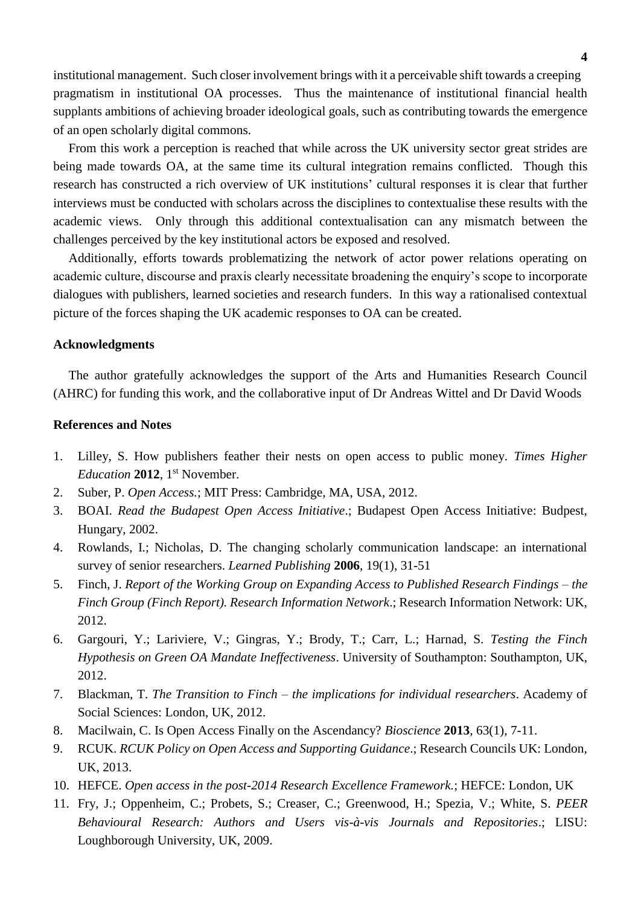institutional management. Such closer involvement brings with it a perceivable shift towards a creeping pragmatism in institutional OA processes. Thus the maintenance of institutional financial health supplants ambitions of achieving broader ideological goals, such as contributing towards the emergence of an open scholarly digital commons.

From this work a perception is reached that while across the UK university sector great strides are being made towards OA, at the same time its cultural integration remains conflicted. Though this research has constructed a rich overview of UK institutions' cultural responses it is clear that further interviews must be conducted with scholars across the disciplines to contextualise these results with the academic views. Only through this additional contextualisation can any mismatch between the challenges perceived by the key institutional actors be exposed and resolved.

Additionally, efforts towards problematizing the network of actor power relations operating on academic culture, discourse and praxis clearly necessitate broadening the enquiry's scope to incorporate dialogues with publishers, learned societies and research funders. In this way a rationalised contextual picture of the forces shaping the UK academic responses to OA can be created.

#### **Acknowledgments**

The author gratefully acknowledges the support of the Arts and Humanities Research Council (AHRC) for funding this work, and the collaborative input of Dr Andreas Wittel and Dr David Woods

### **References and Notes**

- 1. Lilley, S. How publishers feather their nests on open access to public money. *Times Higher Education* 2012, 1<sup>st</sup> November.
- 2. Suber, P. *Open Access.*; MIT Press: Cambridge, MA, USA, 2012.
- 3. BOAI. *Read the Budapest Open Access Initiative*.; Budapest Open Access Initiative: Budpest, Hungary, 2002.
- 4. Rowlands, I.; Nicholas, D. The changing scholarly communication landscape: an international survey of senior researchers. *Learned Publishing* **2006**, 19(1), 31-51
- 5. Finch, J. *Report of the Working Group on Expanding Access to Published Research Findings – the Finch Group (Finch Report). Research Information Network*.; Research Information Network: UK, 2012.
- 6. Gargouri, Y.; Lariviere, V.; Gingras, Y.; Brody, T.; Carr, L.; Harnad, S. *Testing the Finch Hypothesis on Green OA Mandate Ineffectiveness*. University of Southampton: Southampton, UK, 2012.
- 7. Blackman, T. *The Transition to Finch – the implications for individual researchers*. Academy of Social Sciences: London, UK, 2012.
- 8. Macilwain, C. Is Open Access Finally on the Ascendancy? *Bioscience* **2013**, 63(1), 7-11.
- 9. RCUK. *RCUK Policy on Open Access and Supporting Guidance*.; Research Councils UK: London, UK, 2013.
- 10. HEFCE. *Open access in the post-2014 Research Excellence Framework.*; HEFCE: London, UK
- 11. Fry, J.; Oppenheim, C.; Probets, S.; Creaser, C.; Greenwood, H.; Spezia, V.; White, S. *PEER Behavioural Research: Authors and Users vis-à-vis Journals and Repositories*.; LISU: Loughborough University, UK, 2009.